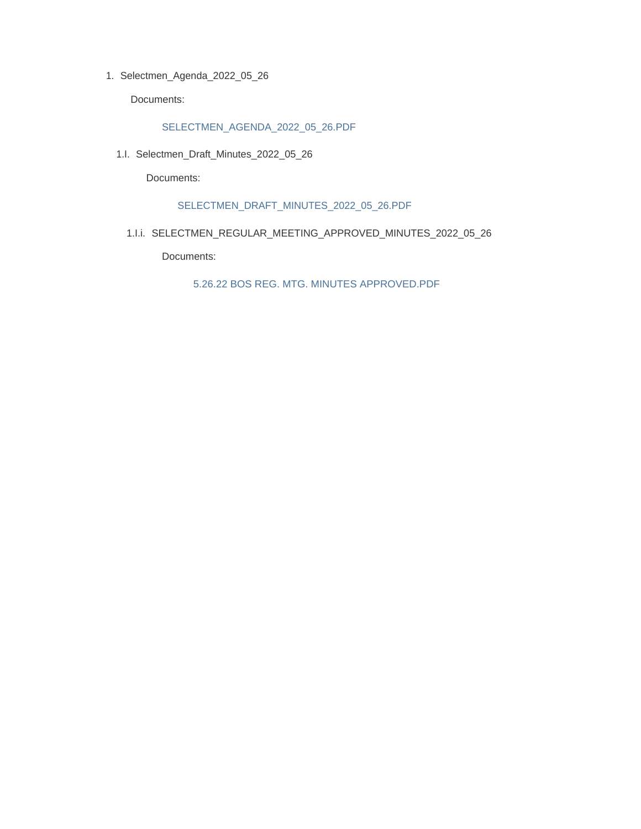1. Selectmen\_Agenda\_2022\_05\_26

Documents:

SELECTMEN\_AGENDA\_2022\_05\_26.PDF

1.I. Selectmen\_Draft\_Minutes\_2022\_05\_26

Documents:

SELECTMEN\_DRAFT\_MINUTES\_2022\_05\_26.PDF

1.I.i. SELECTMEN\_REGULAR\_MEETING\_APPROVED\_MINUTES\_2022\_05\_26

Documents:

5.26.22 BOS REG. MTG. MINUTES APPROVED.PDF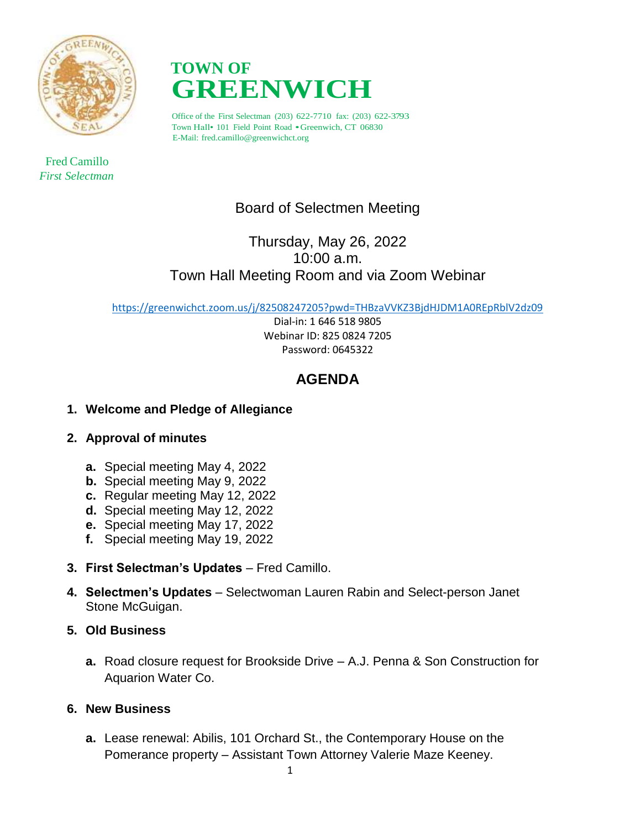

 Fred Camillo *First Selectman*



Office of the First Selectman (203) 622-7710 fax: (203) 622-3793 Town Hall• <sup>101</sup> Field Point Road •Greenwich, CT 06830 E-Mail: fred.camillo@greenwichct.org

# Board of Selectmen Meeting

# Thursday, May 26, 2022 10:00 a.m. Town Hall Meeting Room and via Zoom Webinar

<https://greenwichct.zoom.us/j/82508247205?pwd=THBzaVVKZ3BjdHJDM1A0REpRblV2dz09>

Dial-in: 1 646 518 9805 Webinar ID: 825 0824 7205 Password: 0645322

# **AGENDA**

# **1. Welcome and Pledge of Allegiance**

# **2. Approval of minutes**

- **a.** Special meeting May 4, 2022
- **b.** Special meeting May 9, 2022
- **c.** Regular meeting May 12, 2022
- **d.** Special meeting May 12, 2022
- **e.** Special meeting May 17, 2022
- **f.** Special meeting May 19, 2022
- **3. First Selectman's Updates Fred Camillo.**
- **4. Selectmen's Updates**  Selectwoman Lauren Rabin and Select-person Janet Stone McGuigan.
- **5. Old Business**
	- **a.** Road closure request for Brookside Drive A.J. Penna & Son Construction for Aquarion Water Co.

# **6. New Business**

**a.** Lease renewal: Abilis, 101 Orchard St., the Contemporary House on the Pomerance property – Assistant Town Attorney Valerie Maze Keeney.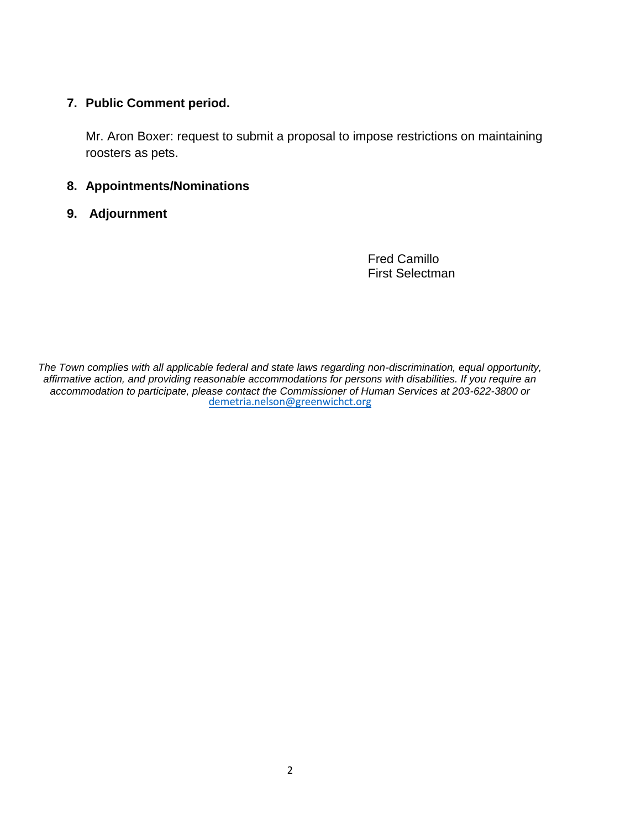## **7. Public Comment period.**

Mr. Aron Boxer: request to submit a proposal to impose restrictions on maintaining roosters as pets.

## **8. Appointments/Nominations**

**9. Adjournment**

Fred Camillo First Selectman

*The Town complies with all applicable federal and state laws regarding non-discrimination, equal opportunity, affirmative action, and providing reasonable accommodations for persons with disabilities. If you require an accommodation to participate, please contact the Commissioner of Human Services at 203-622-3800 or* [demetria.nelson@greenwichct.org](mailto:demetria.nelson@greenwichct.org)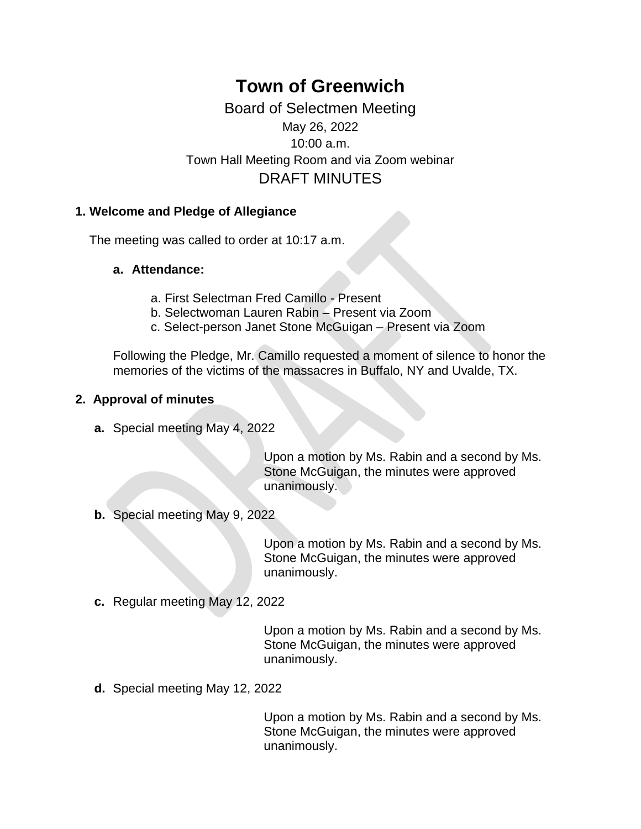# **Town of Greenwich**

Board of Selectmen Meeting May 26, 2022 10:00 a.m. Town Hall Meeting Room and via Zoom webinar DRAFT MINUTES

# **1. Welcome and Pledge of Allegiance**

The meeting was called to order at 10:17 a.m.

# **a. Attendance:**

- a. First Selectman Fred Camillo Present
- b. Selectwoman Lauren Rabin Present via Zoom
- c. Select-person Janet Stone McGuigan Present via Zoom

Following the Pledge, Mr. Camillo requested a moment of silence to honor the memories of the victims of the massacres in Buffalo, NY and Uvalde, TX.

# **2. Approval of minutes**

**a.** Special meeting May 4, 2022

Upon a motion by Ms. Rabin and a second by Ms. Stone McGuigan, the minutes were approved unanimously.

**b.** Special meeting May 9, 2022

Upon a motion by Ms. Rabin and a second by Ms. Stone McGuigan, the minutes were approved unanimously.

**c.** Regular meeting May 12, 2022

Upon a motion by Ms. Rabin and a second by Ms. Stone McGuigan, the minutes were approved unanimously.

**d.** Special meeting May 12, 2022

Upon a motion by Ms. Rabin and a second by Ms. Stone McGuigan, the minutes were approved unanimously.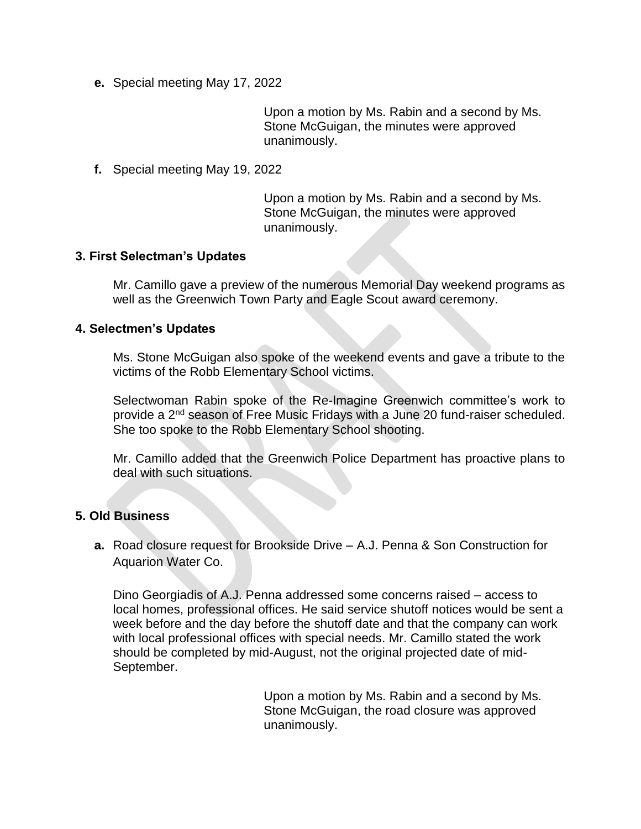**e.** Special meeting May 17, 2022

Upon a motion by Ms. Rabin and a second by Ms. Stone McGuigan, the minutes were approved unanimously.

**f.** Special meeting May 19, 2022

Upon a motion by Ms. Rabin and a second by Ms. Stone McGuigan, the minutes were approved unanimously.

## **3. First Selectman's Updates**

Mr. Camillo gave a preview of the numerous Memorial Day weekend programs as well as the Greenwich Town Party and Eagle Scout award ceremony.

## **4. Selectmen's Updates**

Ms. Stone McGuigan also spoke of the weekend events and gave a tribute to the victims of the Robb Elementary School victims.

Selectwoman Rabin spoke of the Re-Imagine Greenwich committee's work to provide a 2nd season of Free Music Fridays with a June 20 fund-raiser scheduled. She too spoke to the Robb Elementary School shooting.

Mr. Camillo added that the Greenwich Police Department has proactive plans to deal with such situations.

## **5. Old Business**

**a.** Road closure request for Brookside Drive – A.J. Penna & Son Construction for Aquarion Water Co.

Dino Georgiadis of A.J. Penna addressed some concerns raised – access to local homes, professional offices. He said service shutoff notices would be sent a week before and the day before the shutoff date and that the company can work with local professional offices with special needs. Mr. Camillo stated the work should be completed by mid-August, not the original projected date of mid-September.

> Upon a motion by Ms. Rabin and a second by Ms. Stone McGuigan, the road closure was approved unanimously.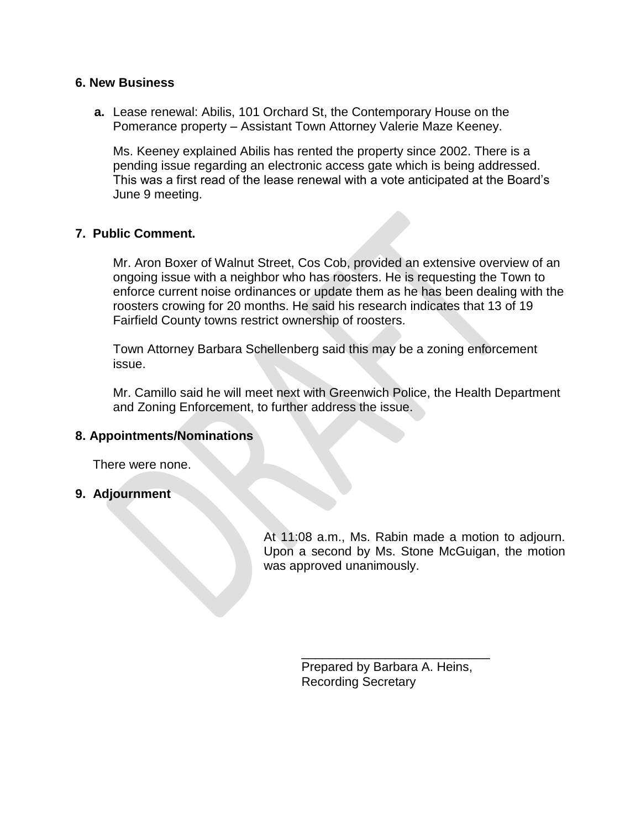## **6. New Business**

**a.** Lease renewal: Abilis, 101 Orchard St, the Contemporary House on the Pomerance property – Assistant Town Attorney Valerie Maze Keeney.

Ms. Keeney explained Abilis has rented the property since 2002. There is a pending issue regarding an electronic access gate which is being addressed. This was a first read of the lease renewal with a vote anticipated at the Board's June 9 meeting.

## **7. Public Comment.**

Mr. Aron Boxer of Walnut Street, Cos Cob, provided an extensive overview of an ongoing issue with a neighbor who has roosters. He is requesting the Town to enforce current noise ordinances or update them as he has been dealing with the roosters crowing for 20 months. He said his research indicates that 13 of 19 Fairfield County towns restrict ownership of roosters.

Town Attorney Barbara Schellenberg said this may be a zoning enforcement issue.

Mr. Camillo said he will meet next with Greenwich Police, the Health Department and Zoning Enforcement, to further address the issue.

## **8. Appointments/Nominations**

There were none.

**9. Adjournment**

At 11:08 a.m., Ms. Rabin made a motion to adjourn. Upon a second by Ms. Stone McGuigan, the motion was approved unanimously.

> Prepared by Barbara A. Heins, Recording Secretary

\_\_\_\_\_\_\_\_\_\_\_\_\_\_\_\_\_\_\_\_\_\_\_\_\_\_\_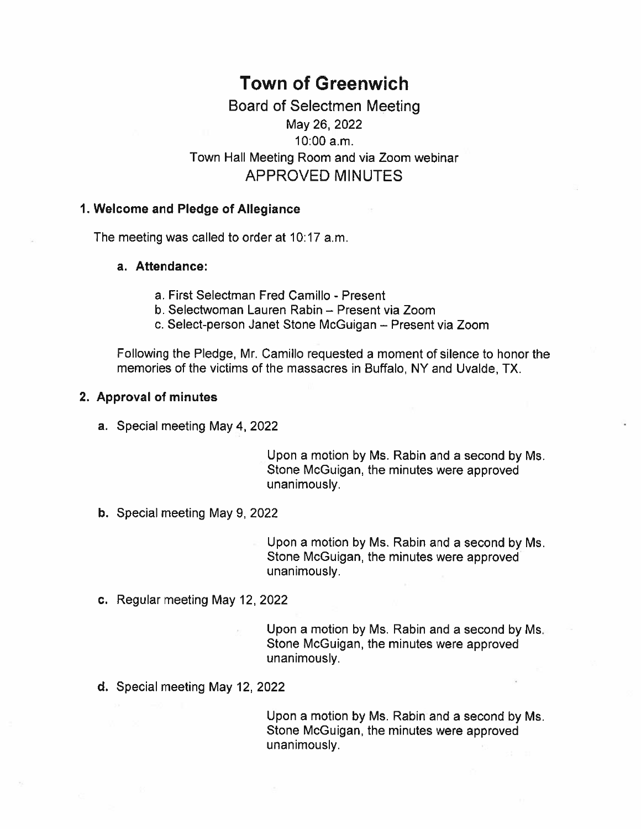# **Town of Greenwich**

# Board of Selectmen Meeting May 26, 2022  $10:00 a.m.$ Town Hall Meeting Room and via Zoom webinar **APPROVED MINUTES**

### 1. Welcome and Pledge of Allegiance

The meeting was called to order at 10:17 a.m.

### a. Attendance:

- a. First Selectman Fred Camillo Present
- b. Selectwoman Lauren Rabin Present via Zoom
- c. Select-person Janet Stone McGuigan Present via Zoom

Following the Pledge, Mr. Camillo requested a moment of silence to honor the memories of the victims of the massacres in Buffalo, NY and Uvalde, TX.

### 2. Approval of minutes

a. Special meeting May 4, 2022

Upon a motion by Ms. Rabin and a second by Ms. Stone McGuigan, the minutes were approved unanimously.

b. Special meeting May 9, 2022

Upon a motion by Ms. Rabin and a second by Ms. Stone McGuigan, the minutes were approved unanimously.

c. Regular meeting May 12, 2022

Upon a motion by Ms. Rabin and a second by Ms. Stone McGuigan, the minutes were approved unanimously.

d. Special meeting May 12, 2022

Upon a motion by Ms. Rabin and a second by Ms. Stone McGuigan, the minutes were approved unanimously.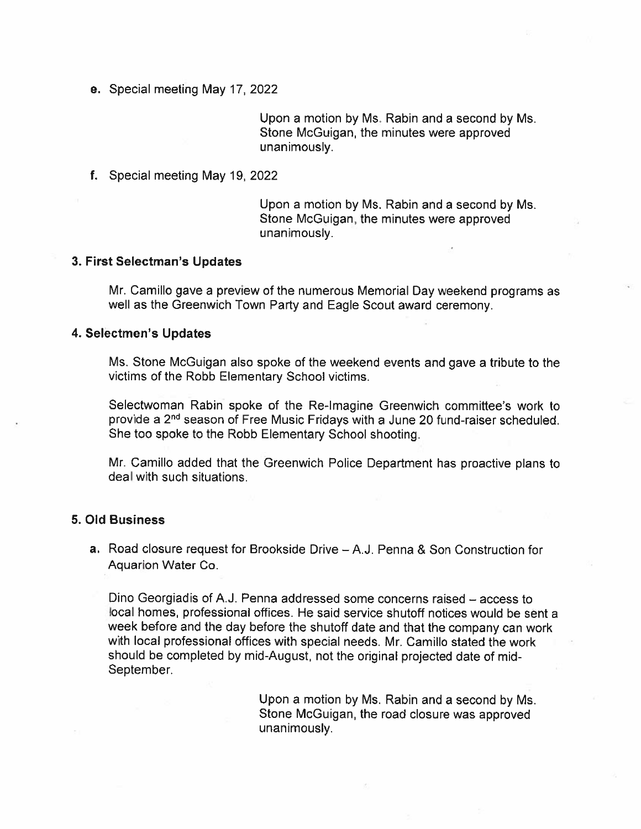e. Special meeting May 17, 2022

Upon a motion by Ms. Rabin and a second by Ms. Stone McGuigan, the minutes were approved unanimously.

f. Special meeting May 19, 2022

Upon a motion by Ms. Rabin and a second by Ms. Stone McGuigan, the minutes were approved unanimously.

#### 3. First Selectman's Updates

Mr. Camillo gave a preview of the numerous Memorial Day weekend programs as well as the Greenwich Town Party and Eagle Scout award ceremony.

#### 4. Selectmen's Updates

Ms. Stone McGuigan also spoke of the weekend events and gave a tribute to the victims of the Robb Elementary School victims.

Selectwoman Rabin spoke of the Re-Imagine Greenwich committee's work to provide a 2<sup>nd</sup> season of Free Music Fridays with a June 20 fund-raiser scheduled. She too spoke to the Robb Elementary School shooting.

Mr. Camillo added that the Greenwich Police Department has proactive plans to deal with such situations.

### **5. Old Business**

a. Road closure request for Brookside Drive – A.J. Penna & Son Construction for Aquarion Water Co.

Dino Georgiadis of A.J. Penna addressed some concerns raised - access to local homes, professional offices. He said service shutoff notices would be sent a week before and the day before the shutoff date and that the company can work with local professional offices with special needs. Mr. Camillo stated the work should be completed by mid-August, not the original projected date of mid-September.

> Upon a motion by Ms. Rabin and a second by Ms. Stone McGuigan, the road closure was approved unanimously.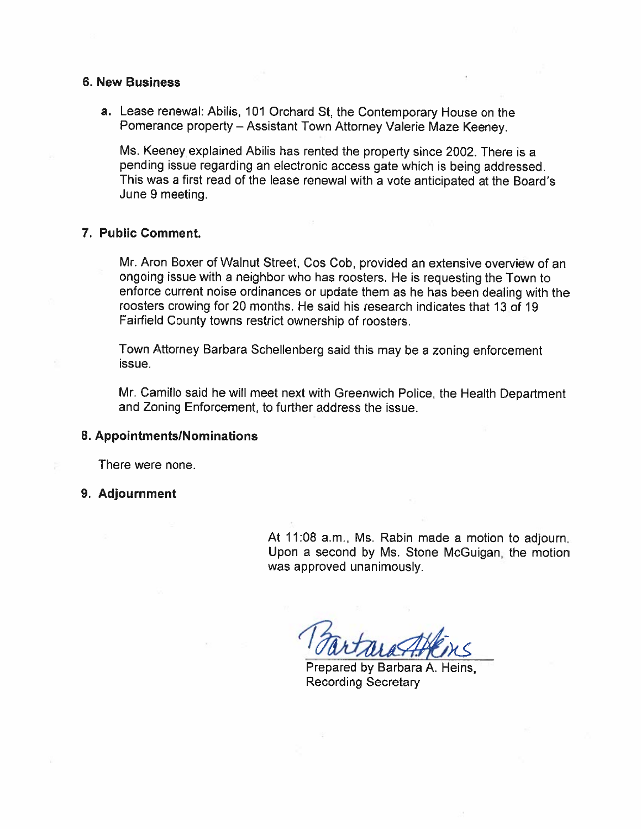#### **6. New Business**

a. Lease renewal: Abilis, 101 Orchard St, the Contemporary House on the Pomerance property - Assistant Town Attorney Valerie Maze Keeney.

Ms. Keeney explained Abilis has rented the property since 2002. There is a pending issue regarding an electronic access gate which is being addressed. This was a first read of the lease renewal with a vote anticipated at the Board's June 9 meeting.

#### 7. Public Comment.

Mr. Aron Boxer of Walnut Street, Cos Cob, provided an extensive overview of an ongoing issue with a neighbor who has roosters. He is requesting the Town to enforce current noise ordinances or update them as he has been dealing with the roosters crowing for 20 months. He said his research indicates that 13 of 19 Fairfield County towns restrict ownership of roosters.

Town Attorney Barbara Schellenberg said this may be a zoning enforcement issue.

Mr. Camillo said he will meet next with Greenwich Police, the Health Department and Zoning Enforcement, to further address the issue.

#### 8. Appointments/Nominations

There were none.

#### 9. Adjournment

At 11:08 a.m., Ms. Rabin made a motion to adjourn. Upon a second by Ms. Stone McGuigan, the motion was approved unanimously.

Prepared by Barbara A. Heins, **Recording Secretary**